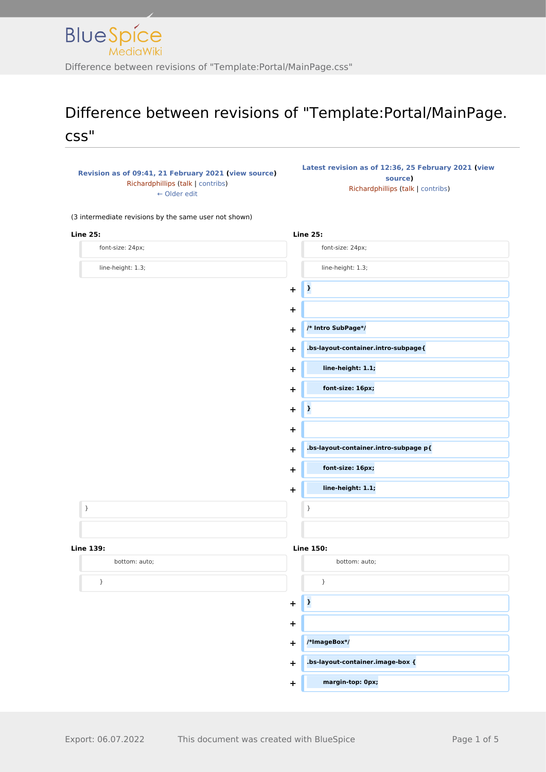

## Difference between revisions of "Template:Portal/MainPage. css"

**[Revision as of 09:41, 21 February 2021](http://www.greenwichyachtclub.co.uk/w/index.php?title=Template:Portal/MainPage.css&oldid=108) [\(view source](http://www.greenwichyachtclub.co.uk/w/index.php?title=Template:Portal/MainPage.css&action=edit&oldid=108))** [Richardphillips](http://www.greenwichyachtclub.co.uk/w/index.php?title=User:Richardphillips&action=view) [\(talk](http://www.greenwichyachtclub.co.uk/w/index.php?title=User_talk:Richardphillips&action=view) | [contribs\)](http://www.greenwichyachtclub.co.uk/wiki/Special:Contributions/Richardphillips) [← Older edit](http://www.greenwichyachtclub.co.uk/w/index.php?title=Template:Portal/MainPage.css&diff=prev&oldid=108)

**[Latest revision as of 12:36, 25 February 2021](http://www.greenwichyachtclub.co.uk/w/index.php?title=Template:Portal/MainPage.css&oldid=349) ([view](http://www.greenwichyachtclub.co.uk/w/index.php?title=Template:Portal/MainPage.css&action=edit)  [source\)](http://www.greenwichyachtclub.co.uk/w/index.php?title=Template:Portal/MainPage.css&action=edit)** [Richardphillips](http://www.greenwichyachtclub.co.uk/w/index.php?title=User:Richardphillips&action=view) ([talk](http://www.greenwichyachtclub.co.uk/w/index.php?title=User_talk:Richardphillips&action=view) | [contribs](http://www.greenwichyachtclub.co.uk/wiki/Special:Contributions/Richardphillips))

(3 intermediate revisions by the same user not shown)

| <b>Line 25:</b>   | <b>Line 25:</b>                                    |
|-------------------|----------------------------------------------------|
| font-size: 24px;  | font-size: 24px;                                   |
| line-height: 1.3; | line-height: 1.3;                                  |
|                   | $\pmb{\cdot}$<br>$\ddot{}$                         |
|                   | $\ddot{}$                                          |
|                   | /* Intro SubPage*/<br>$\ddot{}$                    |
|                   | .bs-layout-container.intro-subpage{<br>$\ddot{}$   |
|                   | line-height: 1.1;<br>+                             |
|                   | font-size: 16px;<br>$\ddot{}$                      |
|                   | $\pmb{\cdot}$<br>$\ddot{}$                         |
|                   | $\ddot{}$                                          |
|                   | .bs-layout-container.intro-subpage p{<br>$\ddot{}$ |
|                   | font-size: 16px;<br>$\ddot{}$                      |
|                   | line-height: 1.1;<br>$\ddagger$                    |
| $\}$              | $\}$                                               |
|                   |                                                    |
| <b>Line 139:</b>  | <b>Line 150:</b>                                   |
| bottom: auto;     | bottom: auto;                                      |
| $\}$              | $\}$                                               |
|                   | $\mathbf{r}$<br>$\ddagger$                         |
|                   | +                                                  |
|                   | /*ImageBox*/<br>$\ddot{}$                          |
|                   | .bs-layout-container.image-box {<br>$\ddot{}$      |
|                   | margin-top: 0px;<br>$\ddot{}$                      |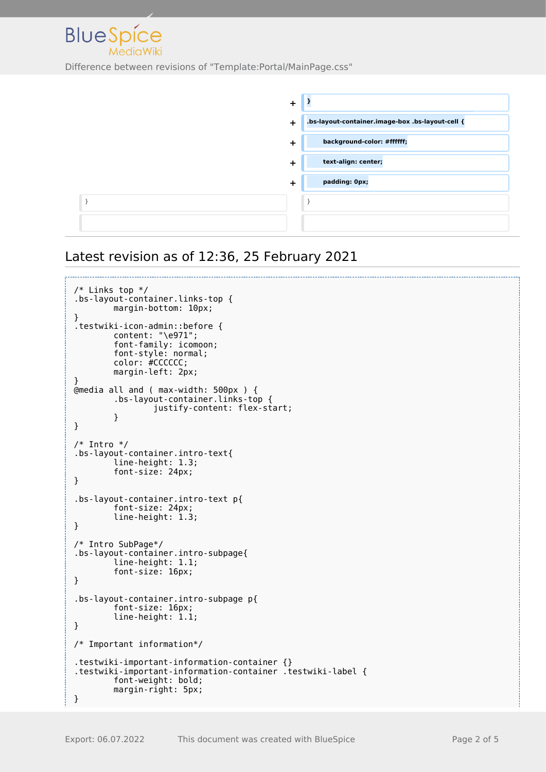

| $\ddot{}$ |                                                  |
|-----------|--------------------------------------------------|
| $\ddot{}$ | .bs-layout-container.image-box .bs-layout-cell { |
| $\ddot{}$ | background-color: #ffffff;                       |
| $\ddot{}$ | text-align: center;                              |
| ┿         | padding: 0px;                                    |
|           |                                                  |
|           |                                                  |

## Latest revision as of 12:36, 25 February 2021

```
/* Links top */
.bs-layout-container.links-top {
         margin-bottom: 10px;
}
.testwiki-icon-admin::before {
         content: "\e971";
         font-family: icomoon;
         font-style: normal;
         color: #CCCCCC;
         margin-left: 2px;
}
@media all and ( max-width: 500px ) {
         .bs-layout-container.links-top {
                 justify-content: flex-start;
         }
}
/* Intro */
.bs-layout-container.intro-text{
         line-height: 1.3;
         font-size: 24px;
}
.bs-layout-container.intro-text p{
         font-size: 24px;
         line-height: 1.3;
}
/* Intro SubPage*/
.bs-layout-container.intro-subpage{
         line-height: 1.1;
         font-size: 16px;
}
.bs-layout-container.intro-subpage p{
         font-size: 16px;
         line-height: 1.1;
}
/* Important information*/
.testwiki-important-information-container {}
.testwiki-important-information-container .testwiki-label {
         font-weight: bold;
         margin-right: 5px;
}
```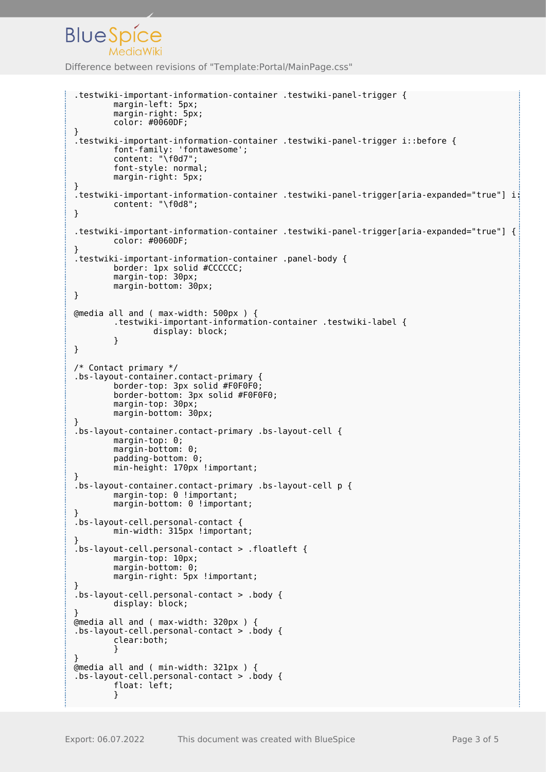```
Difference between revisions of "Template:Portal/MainPage.css"
```
**BlueSpice** 

```
.testwiki-important-information-container .testwiki-panel-trigger {
         margin-left: 5px;
         margin-right: 5px;
         color: #0060DF;
}
.testwiki-important-information-container .testwiki-panel-trigger i::before {
 font-family: 'fontawesome';
 content: "\f0d7";
         font-style: normal;
         margin-right: 5px;
}
.testwiki-important-information-container .testwiki-panel-trigger[aria-expanded="true"] i:
         content: "\f0d8";
}
.testwiki-important-information-container .testwiki-panel-trigger[aria-expanded="true"] {
         color: #0060DF;
}
.testwiki-important-information-container .panel-body {
         border: 1px solid #CCCCCC;
         margin-top: 30px;
         margin-bottom: 30px;
}
@media all and ( max-width: 500px ) {
         .testwiki-important-information-container .testwiki-label {
                 display: block;
         }
}
/* Contact primary */
.bs-layout-container.contact-primary {
         border-top: 3px solid #F0F0F0;
         border-bottom: 3px solid #F0F0F0;
         margin-top: 30px;
         margin-bottom: 30px;
}
.bs-layout-container.contact-primary .bs-layout-cell {
         margin-top: 0;
         margin-bottom: 0;
         padding-bottom: 0;
        min-height: 170px !important:
}
.bs-layout-container.contact-primary .bs-layout-cell p {
        margin-top: 0 !important;
        margin-bottom: 0 !important;
}
.bs-layout-cell.personal-contact {
         min-width: 315px !important;
}
.bs-layout-cell.personal-contact > .floatleft {
         margin-top: 10px;
         margin-bottom: 0;
         margin-right: 5px !important;
}
.bs-layout-cell.personal-contact > .body {
         display: block;
}
@media all and ( max-width: 320px ) {
.bs-layout-cell.personal-contact > .body {
         clear:both;
 }
}
@media all and ( min-width: 321px ) {
.bs-layout-cell.personal-contact > .body {
         float: left;
         }
```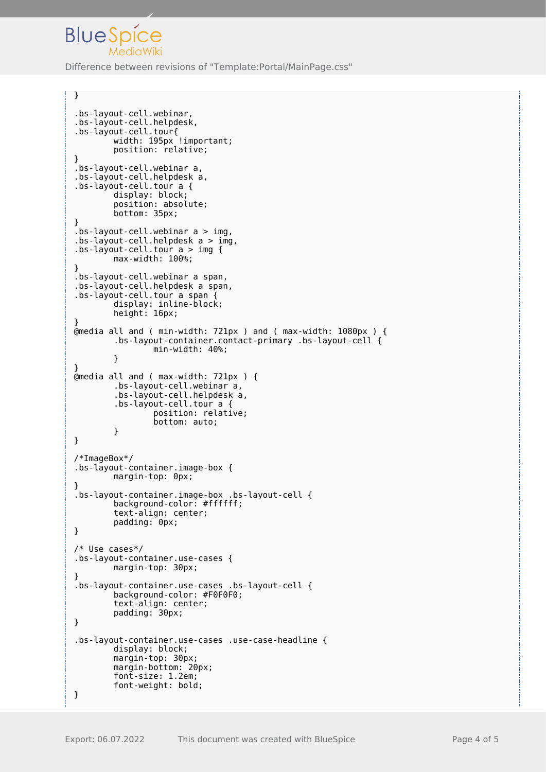

}

J

Difference between revisions of "Template:Portal/MainPage.css"

```
.bs-layout-cell.webinar,
.bs-layout-cell.helpdesk,
.bs-layout-cell.tour{
        width: 195px !important;
         position: relative;
}
.bs-layout-cell.webinar a,
.bs-layout-cell.helpdesk a,
.bs-layout-cell.tour a {
         display: block;
         position: absolute;
         bottom: 35px;
}
.bs-layout-cell.webinar a > img,
.bs-layout-cell.helpdesk a > img,
\texttt{.bs-layout-cell.tour a} > \texttt{img } \{ max-width: 100%;
}
.bs-layout-cell.webinar a span,
.bs-layout-cell.helpdesk a span,
.bs-layout-cell.tour a span {
 display: inline-block;
 height: 16px;
}
@media all and ( min-width: 721px ) and ( max-width: 1080px ) {
         .bs-layout-container.contact-primary .bs-layout-cell {
                 min-width: 40%;
         }
}
@media all and ( max-width: 721px ) {
 .bs-layout-cell.webinar a,
 .bs-layout-cell.helpdesk a,
         .bs-layout-cell.tour a {
                  position: relative;
                  bottom: auto;
         }
}
/*ImageBox*/
.bs-layout-container.image-box {
         margin-top: 0px;
}
.bs-layout-container.image-box .bs-layout-cell {
         background-color: #ffffff;
         text-align: center;
         padding: 0px;
}
/* Use cases*/
.bs-layout-container.use-cases {
         margin-top: 30px;
}
.bs-layout-container.use-cases .bs-layout-cell {
         background-color: #F0F0F0;
         text-align: center;
         padding: 30px;
}
.bs-layout-container.use-cases .use-case-headline {
         display: block;
         margin-top: 30px;
         margin-bottom: 20px;
         font-size: 1.2em;
         font-weight: bold;
}
```